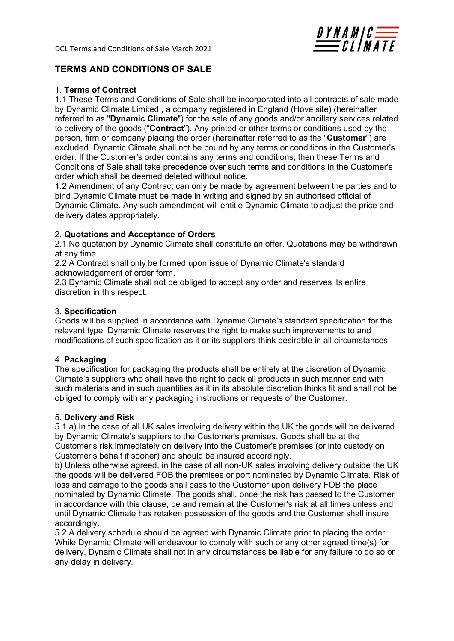

# TERMS AND CONDITIONS OF SALE

### 1. Terms of Contract

1.1 These Terms and Conditions of Sale shall be incorporated into all contracts of sale made by Dynamic Climate Limited., a company registered in England (Hove site) (hereinafter referred to as "Dynamic Climate") for the sale of any goods and/or ancillary services related to delivery of the goods ("Contract"). Any printed or other terms or conditions used by the person, firm or company placing the order (hereinafter referred to as the "Customer") are excluded. Dynamic Climate shall not be bound by any terms or conditions in the Customer's order. If the Customer's order contains any terms and conditions, then these Terms and Conditions of Sale shall take precedence over such terms and conditions in the Customer's order which shall be deemed deleted without notice.

1.2 Amendment of any Contract can only be made by agreement between the parties and to bind Dynamic Climate must be made in writing and signed by an authorised official of Dynamic Climate. Any such amendment will entitle Dynamic Climate to adjust the price and delivery dates appropriately.

### 2. Quotations and Acceptance of Orders

2.1 No quotation by Dynamic Climate shall constitute an offer. Quotations may be withdrawn at any time.

2.2 A Contract shall only be formed upon issue of Dynamic Climate's standard acknowledgement of order form.

2.3 Dynamic Climate shall not be obliged to accept any order and reserves its entire discretion in this respect.

### 3. Specification

Goods will be supplied in accordance with Dynamic Climate's standard specification for the relevant type. Dynamic Climate reserves the right to make such improvements to and modifications of such specification as it or its suppliers think desirable in all circumstances.

### 4. Packaging

The specification for packaging the products shall be entirely at the discretion of Dynamic Climate's suppliers who shall have the right to pack all products in such manner and with such materials and in such quantities as it in its absolute discretion thinks fit and shall not be obliged to comply with any packaging instructions or requests of the Customer.

### 5. Delivery and Risk

5.1 a) In the case of all UK sales involving delivery within the UK the goods will be delivered by Dynamic Climate's suppliers to the Customer's premises. Goods shall be at the Customer's risk immediately on delivery into the Customer's premises (or into custody on Customer's behalf if sooner) and should be insured accordingly.

b) Unless otherwise agreed, in the case of all non-UK sales involving delivery outside the UK the goods will be delivered FOB the premises or port nominated by Dynamic Climate. Risk of loss and damage to the goods shall pass to the Customer upon delivery FOB the place nominated by Dynamic Climate. The goods shall, once the risk has passed to the Customer in accordance with this clause, be and remain at the Customer's risk at all times unless and until Dynamic Climate has retaken possession of the goods and the Customer shall insure accordingly.

5.2 A delivery schedule should be agreed with Dynamic Climate prior to placing the order. While Dynamic Climate will endeavour to comply with such or any other agreed time(s) for delivery, Dynamic Climate shall not in any circumstances be liable for any failure to do so or any delay in delivery.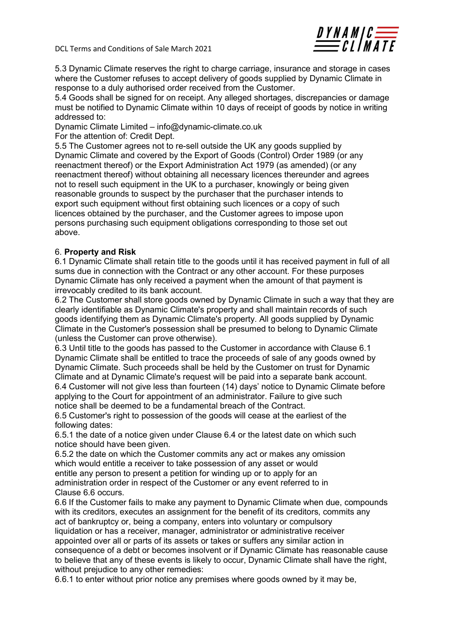

5.3 Dynamic Climate reserves the right to charge carriage, insurance and storage in cases where the Customer refuses to accept delivery of goods supplied by Dynamic Climate in response to a duly authorised order received from the Customer.

5.4 Goods shall be signed for on receipt. Any alleged shortages, discrepancies or damage must be notified to Dynamic Climate within 10 days of receipt of goods by notice in writing addressed to:

Dynamic Climate Limited – info@dynamic-climate.co.uk

For the attention of: Credit Dept.

5.5 The Customer agrees not to re-sell outside the UK any goods supplied by Dynamic Climate and covered by the Export of Goods (Control) Order 1989 (or any reenactment thereof) or the Export Administration Act 1979 (as amended) (or any reenactment thereof) without obtaining all necessary licences thereunder and agrees not to resell such equipment in the UK to a purchaser, knowingly or being given reasonable grounds to suspect by the purchaser that the purchaser intends to export such equipment without first obtaining such licences or a copy of such licences obtained by the purchaser, and the Customer agrees to impose upon persons purchasing such equipment obligations corresponding to those set out above.

### 6. Property and Risk

6.1 Dynamic Climate shall retain title to the goods until it has received payment in full of all sums due in connection with the Contract or any other account. For these purposes Dynamic Climate has only received a payment when the amount of that payment is irrevocably credited to its bank account.

6.2 The Customer shall store goods owned by Dynamic Climate in such a way that they are clearly identifiable as Dynamic Climate's property and shall maintain records of such goods identifying them as Dynamic Climate's property. All goods supplied by Dynamic Climate in the Customer's possession shall be presumed to belong to Dynamic Climate (unless the Customer can prove otherwise).

6.3 Until title to the goods has passed to the Customer in accordance with Clause 6.1 Dynamic Climate shall be entitled to trace the proceeds of sale of any goods owned by Dynamic Climate. Such proceeds shall be held by the Customer on trust for Dynamic Climate and at Dynamic Climate's request will be paid into a separate bank account. 6.4 Customer will not give less than fourteen (14) days' notice to Dynamic Climate before applying to the Court for appointment of an administrator. Failure to give such notice shall be deemed to be a fundamental breach of the Contract.

6.5 Customer's right to possession of the goods will cease at the earliest of the following dates:

6.5.1 the date of a notice given under Clause 6.4 or the latest date on which such notice should have been given.

6.5.2 the date on which the Customer commits any act or makes any omission which would entitle a receiver to take possession of any asset or would entitle any person to present a petition for winding up or to apply for an administration order in respect of the Customer or any event referred to in Clause 6.6 occurs.

6.6 If the Customer fails to make any payment to Dynamic Climate when due, compounds with its creditors, executes an assignment for the benefit of its creditors, commits any act of bankruptcy or, being a company, enters into voluntary or compulsory liquidation or has a receiver, manager, administrator or administrative receiver appointed over all or parts of its assets or takes or suffers any similar action in consequence of a debt or becomes insolvent or if Dynamic Climate has reasonable cause to believe that any of these events is likely to occur, Dynamic Climate shall have the right, without prejudice to any other remedies:

6.6.1 to enter without prior notice any premises where goods owned by it may be,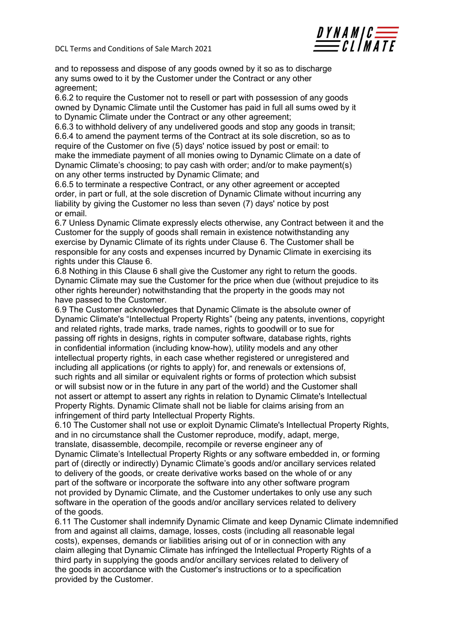

and to repossess and dispose of any goods owned by it so as to discharge any sums owed to it by the Customer under the Contract or any other agreement;

6.6.2 to require the Customer not to resell or part with possession of any goods owned by Dynamic Climate until the Customer has paid in full all sums owed by it to Dynamic Climate under the Contract or any other agreement;

6.6.3 to withhold delivery of any undelivered goods and stop any goods in transit; 6.6.4 to amend the payment terms of the Contract at its sole discretion, so as to require of the Customer on five (5) days' notice issued by post or email: to make the immediate payment of all monies owing to Dynamic Climate on a date of Dynamic Climate's choosing; to pay cash with order; and/or to make payment(s) on any other terms instructed by Dynamic Climate; and

6.6.5 to terminate a respective Contract, or any other agreement or accepted order, in part or full, at the sole discretion of Dynamic Climate without incurring any liability by giving the Customer no less than seven (7) days' notice by post or email.

6.7 Unless Dynamic Climate expressly elects otherwise, any Contract between it and the Customer for the supply of goods shall remain in existence notwithstanding any exercise by Dynamic Climate of its rights under Clause 6. The Customer shall be responsible for any costs and expenses incurred by Dynamic Climate in exercising its rights under this Clause 6.

6.8 Nothing in this Clause 6 shall give the Customer any right to return the goods. Dynamic Climate may sue the Customer for the price when due (without prejudice to its other rights hereunder) notwithstanding that the property in the goods may not have passed to the Customer.

6.9 The Customer acknowledges that Dynamic Climate is the absolute owner of Dynamic Climate's "Intellectual Property Rights" (being any patents, inventions, copyright and related rights, trade marks, trade names, rights to goodwill or to sue for passing off rights in designs, rights in computer software, database rights, rights in confidential information (including know-how), utility models and any other intellectual property rights, in each case whether registered or unregistered and including all applications (or rights to apply) for, and renewals or extensions of, such rights and all similar or equivalent rights or forms of protection which subsist or will subsist now or in the future in any part of the world) and the Customer shall not assert or attempt to assert any rights in relation to Dynamic Climate's Intellectual Property Rights. Dynamic Climate shall not be liable for claims arising from an infringement of third party Intellectual Property Rights.

6.10 The Customer shall not use or exploit Dynamic Climate's Intellectual Property Rights, and in no circumstance shall the Customer reproduce, modify, adapt, merge, translate, disassemble, decompile, recompile or reverse engineer any of Dynamic Climate's Intellectual Property Rights or any software embedded in, or forming part of (directly or indirectly) Dynamic Climate's goods and/or ancillary services related to delivery of the goods, or create derivative works based on the whole of or any part of the software or incorporate the software into any other software program not provided by Dynamic Climate, and the Customer undertakes to only use any such software in the operation of the goods and/or ancillary services related to delivery of the goods.

6.11 The Customer shall indemnify Dynamic Climate and keep Dynamic Climate indemnified from and against all claims, damage, losses, costs (including all reasonable legal costs), expenses, demands or liabilities arising out of or in connection with any claim alleging that Dynamic Climate has infringed the Intellectual Property Rights of a third party in supplying the goods and/or ancillary services related to delivery of the goods in accordance with the Customer's instructions or to a specification provided by the Customer.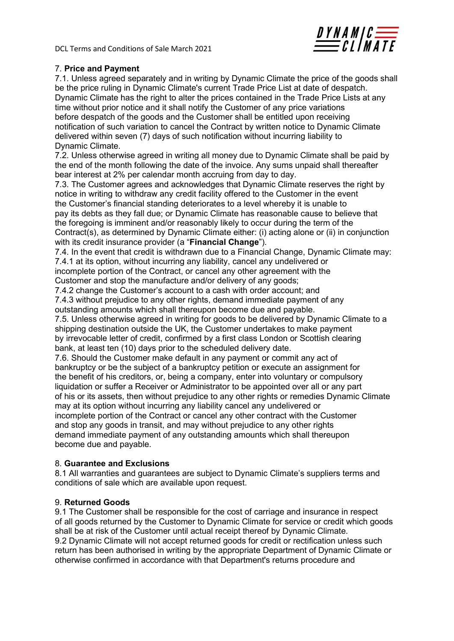

## 7. Price and Payment

7.1. Unless agreed separately and in writing by Dynamic Climate the price of the goods shall be the price ruling in Dynamic Climate's current Trade Price List at date of despatch. Dynamic Climate has the right to alter the prices contained in the Trade Price Lists at any time without prior notice and it shall notify the Customer of any price variations before despatch of the goods and the Customer shall be entitled upon receiving notification of such variation to cancel the Contract by written notice to Dynamic Climate delivered within seven (7) days of such notification without incurring liability to Dynamic Climate.

7.2. Unless otherwise agreed in writing all money due to Dynamic Climate shall be paid by the end of the month following the date of the invoice. Any sums unpaid shall thereafter bear interest at 2% per calendar month accruing from day to day.

7.3. The Customer agrees and acknowledges that Dynamic Climate reserves the right by notice in writing to withdraw any credit facility offered to the Customer in the event the Customer's financial standing deteriorates to a level whereby it is unable to pay its debts as they fall due; or Dynamic Climate has reasonable cause to believe that the foregoing is imminent and/or reasonably likely to occur during the term of the Contract(s), as determined by Dynamic Climate either: (i) acting alone or (ii) in conjunction with its credit insurance provider (a "Financial Change").

7.4. In the event that credit is withdrawn due to a Financial Change, Dynamic Climate may: 7.4.1 at its option, without incurring any liability, cancel any undelivered or incomplete portion of the Contract, or cancel any other agreement with the

Customer and stop the manufacture and/or delivery of any goods;

7.4.2 change the Customer's account to a cash with order account; and

7.4.3 without prejudice to any other rights, demand immediate payment of any outstanding amounts which shall thereupon become due and payable.

7.5. Unless otherwise agreed in writing for goods to be delivered by Dynamic Climate to a shipping destination outside the UK, the Customer undertakes to make payment by irrevocable letter of credit, confirmed by a first class London or Scottish clearing bank, at least ten (10) days prior to the scheduled delivery date.

7.6. Should the Customer make default in any payment or commit any act of bankruptcy or be the subject of a bankruptcy petition or execute an assignment for the benefit of his creditors, or, being a company, enter into voluntary or compulsory liquidation or suffer a Receiver or Administrator to be appointed over all or any part of his or its assets, then without prejudice to any other rights or remedies Dynamic Climate may at its option without incurring any liability cancel any undelivered or incomplete portion of the Contract or cancel any other contract with the Customer and stop any goods in transit, and may without prejudice to any other rights demand immediate payment of any outstanding amounts which shall thereupon become due and payable.

### 8. Guarantee and Exclusions

8.1 All warranties and guarantees are subject to Dynamic Climate's suppliers terms and conditions of sale which are available upon request.

### 9. Returned Goods

9.1 The Customer shall be responsible for the cost of carriage and insurance in respect of all goods returned by the Customer to Dynamic Climate for service or credit which goods shall be at risk of the Customer until actual receipt thereof by Dynamic Climate. 9.2 Dynamic Climate will not accept returned goods for credit or rectification unless such return has been authorised in writing by the appropriate Department of Dynamic Climate or otherwise confirmed in accordance with that Department's returns procedure and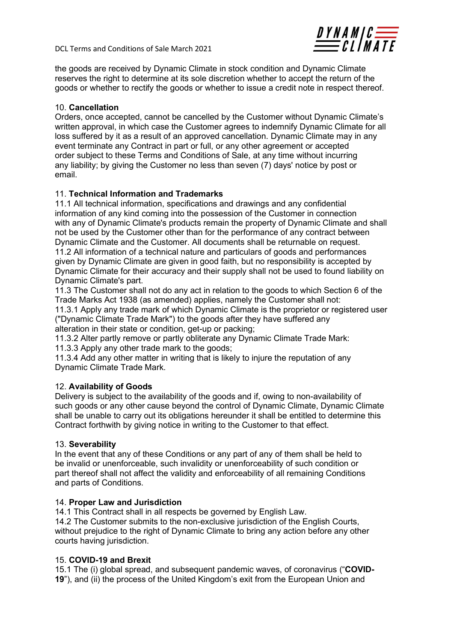

the goods are received by Dynamic Climate in stock condition and Dynamic Climate reserves the right to determine at its sole discretion whether to accept the return of the goods or whether to rectify the goods or whether to issue a credit note in respect thereof.

## 10. Cancellation

Orders, once accepted, cannot be cancelled by the Customer without Dynamic Climate's written approval, in which case the Customer agrees to indemnify Dynamic Climate for all loss suffered by it as a result of an approved cancellation. Dynamic Climate may in any event terminate any Contract in part or full, or any other agreement or accepted order subject to these Terms and Conditions of Sale, at any time without incurring any liability; by giving the Customer no less than seven (7) days' notice by post or email.

# 11. Technical Information and Trademarks

11.1 All technical information, specifications and drawings and any confidential information of any kind coming into the possession of the Customer in connection with any of Dynamic Climate's products remain the property of Dynamic Climate and shall not be used by the Customer other than for the performance of any contract between Dynamic Climate and the Customer. All documents shall be returnable on request. 11.2 All information of a technical nature and particulars of goods and performances given by Dynamic Climate are given in good faith, but no responsibility is accepted by Dynamic Climate for their accuracy and their supply shall not be used to found liability on Dynamic Climate's part.

11.3 The Customer shall not do any act in relation to the goods to which Section 6 of the Trade Marks Act 1938 (as amended) applies, namely the Customer shall not:

11.3.1 Apply any trade mark of which Dynamic Climate is the proprietor or registered user ("Dynamic Climate Trade Mark") to the goods after they have suffered any alteration in their state or condition, get-up or packing;

11.3.2 Alter partly remove or partly obliterate any Dynamic Climate Trade Mark: 11.3.3 Apply any other trade mark to the goods;

11.3.4 Add any other matter in writing that is likely to injure the reputation of any Dynamic Climate Trade Mark.

### 12. Availability of Goods

Delivery is subject to the availability of the goods and if, owing to non-availability of such goods or any other cause beyond the control of Dynamic Climate, Dynamic Climate shall be unable to carry out its obligations hereunder it shall be entitled to determine this Contract forthwith by giving notice in writing to the Customer to that effect.

### 13. Severability

In the event that any of these Conditions or any part of any of them shall be held to be invalid or unenforceable, such invalidity or unenforceability of such condition or part thereof shall not affect the validity and enforceability of all remaining Conditions and parts of Conditions.

### 14. Proper Law and Jurisdiction

14.1 This Contract shall in all respects be governed by English Law.

14.2 The Customer submits to the non-exclusive jurisdiction of the English Courts, without prejudice to the right of Dynamic Climate to bring any action before any other courts having jurisdiction.

### 15. COVID-19 and Brexit

15.1 The (i) global spread, and subsequent pandemic waves, of coronavirus ("COVID-19"), and (ii) the process of the United Kingdom's exit from the European Union and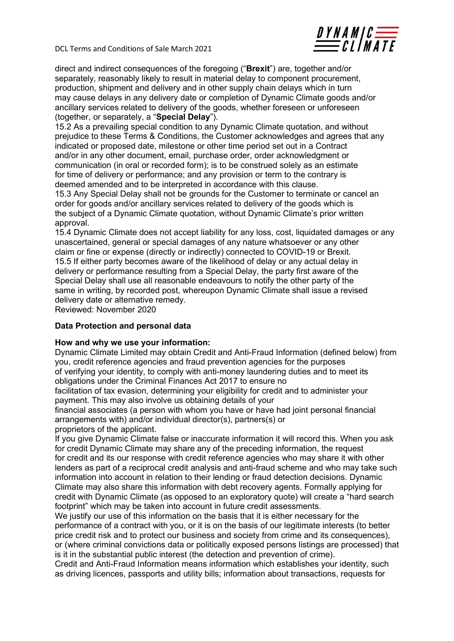

direct and indirect consequences of the foregoing ("Brexit") are, together and/or separately, reasonably likely to result in material delay to component procurement, production, shipment and delivery and in other supply chain delays which in turn may cause delays in any delivery date or completion of Dynamic Climate goods and/or ancillary services related to delivery of the goods, whether foreseen or unforeseen (together, or separately, a "Special Delay").

15.2 As a prevailing special condition to any Dynamic Climate quotation, and without prejudice to these Terms & Conditions, the Customer acknowledges and agrees that any indicated or proposed date, milestone or other time period set out in a Contract and/or in any other document, email, purchase order, order acknowledgment or communication (in oral or recorded form); is to be construed solely as an estimate for time of delivery or performance; and any provision or term to the contrary is deemed amended and to be interpreted in accordance with this clause.

15.3 Any Special Delay shall not be grounds for the Customer to terminate or cancel an order for goods and/or ancillary services related to delivery of the goods which is the subject of a Dynamic Climate quotation, without Dynamic Climate's prior written approval.

15.4 Dynamic Climate does not accept liability for any loss, cost, liquidated damages or any unascertained, general or special damages of any nature whatsoever or any other claim or fine or expense (directly or indirectly) connected to COVID-19 or Brexit. 15.5 If either party becomes aware of the likelihood of delay or any actual delay in delivery or performance resulting from a Special Delay, the party first aware of the Special Delay shall use all reasonable endeavours to notify the other party of the same in writing, by recorded post, whereupon Dynamic Climate shall issue a revised delivery date or alternative remedy.

Reviewed: November 2020

### Data Protection and personal data

### How and why we use your information:

Dynamic Climate Limited may obtain Credit and Anti-Fraud Information (defined below) from you, credit reference agencies and fraud prevention agencies for the purposes of verifying your identity, to comply with anti-money laundering duties and to meet its obligations under the Criminal Finances Act 2017 to ensure no

facilitation of tax evasion, determining your eligibility for credit and to administer your payment. This may also involve us obtaining details of your

financial associates (a person with whom you have or have had joint personal financial arrangements with) and/or individual director(s), partners(s) or proprietors of the applicant.

If you give Dynamic Climate false or inaccurate information it will record this. When you ask for credit Dynamic Climate may share any of the preceding information, the request for credit and its our response with credit reference agencies who may share it with other lenders as part of a reciprocal credit analysis and anti-fraud scheme and who may take such information into account in relation to their lending or fraud detection decisions. Dynamic Climate may also share this information with debt recovery agents. Formally applying for credit with Dynamic Climate (as opposed to an exploratory quote) will create a "hard search footprint" which may be taken into account in future credit assessments.

We justify our use of this information on the basis that it is either necessary for the performance of a contract with you, or it is on the basis of our legitimate interests (to better price credit risk and to protect our business and society from crime and its consequences), or (where criminal convictions data or politically exposed persons listings are processed) that is it in the substantial public interest (the detection and prevention of crime).

Credit and Anti-Fraud Information means information which establishes your identity, such as driving licences, passports and utility bills; information about transactions, requests for